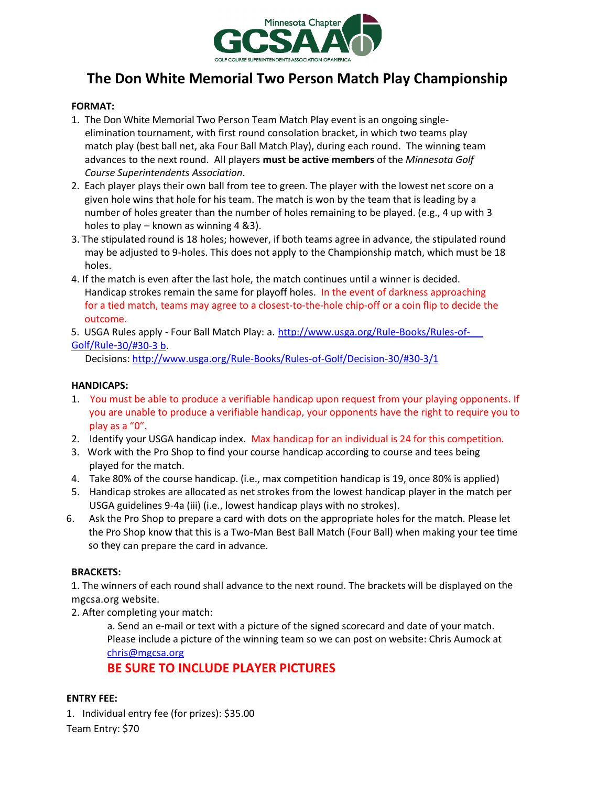

# **The Don White Memorial Two Person Match Play Championship**

# **FORMAT:**

- 1. The Don White Memorial Two Person Team Match Play event is an ongoing singleelimination tournament, with first round consolation bracket, in which two teams play match play (best ball net, aka Four Ball Match Play), during each round. The winning team advances to the next round. All players **must be active members** of the *Minnesota Golf Course Superintendents Association*.
- 2. Each player plays their own ball from tee to green. The player with the lowest net score on a given hole wins that hole for his team. The match is won by the team that is leading by a number of holes greater than the number of holes remaining to be played. (e.g., 4 up with 3 holes to play – known as winning 4 &3).
- 3. The stipulated round is 18 holes; however, if both teams agree in advance, the stipulated round may be adjusted to 9-holes. This does not apply to the Championship match, which must be 18 holes.
- 4. If the match is even after the last hole, the match continues until a winner is decided. Handicap strokes remain the same for playoff holes. In the event of darkness approaching for a tied match, teams may agree to a closest-to-the-hole chip-off or a coin flip to decide the outcome.
- 5. USGA Rules apply Four Ball Match Play: a. [http://www.usga.org/Rule-Books/Rules-of-](http://www.usga.org/Rule-Books/Rules-of-%20%20%20%20%20Golf/Rule-)[Golf/Rule-](http://www.usga.org/Rule-Books/Rules-of-%20%20%20%20%20Golf/Rule-)[30/#30-3](http://www.usga.org/Rule-Books/Rules-of-Golf/Rule-30/#30-3%20b) b.

Decisions: [http://www.usga.org/Rule-Books/Rules-of-Golf/Decision-30/#30-3/1](http://www.usga.org/Rule-Books/Rules-of-Golf/Decision-30/%2330-3/1)

## **HANDICAPS:**

- 1. You must be able to produce a verifiable handicap upon request from your playing opponents. If you are unable to produce a verifiable handicap, your opponents have the right to require you to play as a "0".
- 2. Identify your USGA handicap index. Max handicap for an individual is 24 for this competition.
- 3. Work with the Pro Shop to find your course handicap according to course and tees being played for the match.
- 4. Take 80% of the course handicap. (i.e., max competition handicap is 19, once 80% is applied)
- 5. Handicap strokes are allocated as net strokes from the lowest handicap player in the match per USGA guidelines 9-4a (iii) (i.e., lowest handicap plays with no strokes).
- 6. Ask the Pro Shop to prepare a card with dots on the appropriate holes for the match. Please let the Pro Shop know that this is a Two-Man Best Ball Match (Four Ball) when making your tee time so they can prepare the card in advance.

### **BRACKETS:**

1. The winners of each round shall advance to the next round. The brackets will be displayed on the mgcsa.org website.

2. After completing your match:

a. Send an e-mail or text with a picture of the signed scorecard and date of your match. Please include a picture of the winning team so we can post on website: Chris Aumock at [chris@mgcsa.org](mailto:chris@mgcsa.org)

**BE SURE TO INCLUDE PLAYER PICTURES**

# **ENTRY FEE:**

1. Individual entry fee (for prizes): \$35.00

Team Entry: \$70